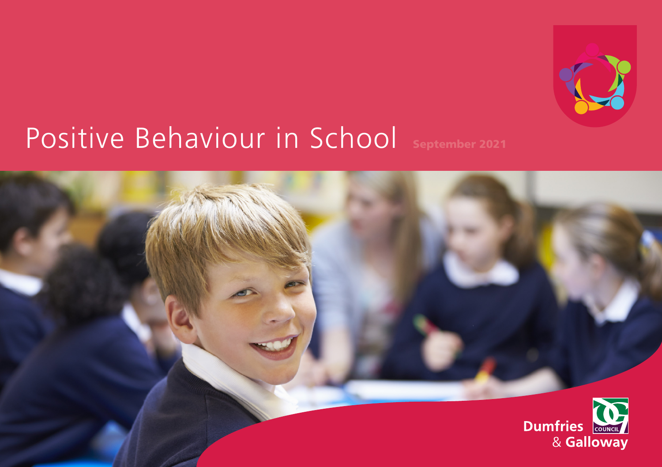

# Positive Behaviour in School September 2021

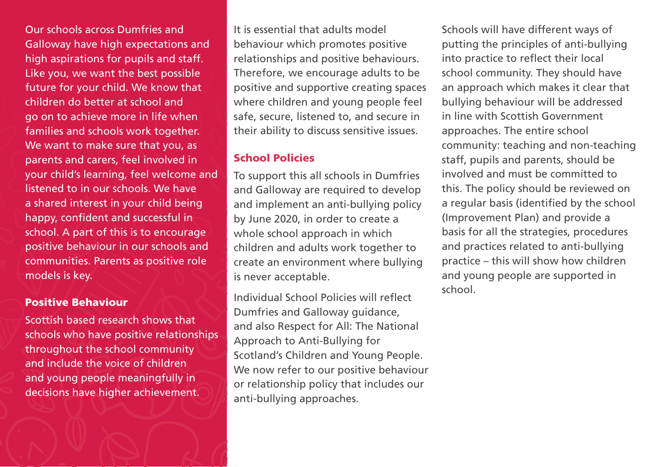Our schools across Dumfries and Galloway have high expectations and high aspirations for pupils and staff. Like you, we want the best possible future for your child. We know that children do better at school and go on to achieve more in life when families and schools work together. We want to make sure that you, as parents and carers, feel involved in your child's learning, feel welcome and listened to in our schools. We have a shared interest in your child being happy, confident and successful in school. A part of this is to encourage positive behaviour in our schools and communities. Parents as positive role models is key.

#### Positive Behaviour

Scottish based research shows that schools who have positive relationships throughout the school community and include the voice of children and young people meaningfully in decisions have higher achievement.

It is essential that adults model behaviour which promotes positive relationships and positive behaviours. Therefore, we encourage adults to be positive and supportive creating spaces where children and young people feel safe, secure, listened to, and secure in their ability to discuss sensitive issues.

#### School Policies

To support this all schools in Dumfries and Galloway are required to develop and implement an anti-bullying policy by June 2020, in order to create a whole school approach in which children and adults work together to create an environment where bullying is never acceptable.

Individual School Policies will refect Dumfries and Galloway guidance, and also Respect for All: The National Approach to Anti-Bullying for Scotland's Children and Young People. We now refer to our positive behaviour or relationship policy that includes our anti-bullying approaches.

Schools will have different ways of putting the principles of anti-bullying into practice to reflect their local school community. They should have an approach which makes it clear that bullying behaviour will be addressed in line with Scottish Government approaches. The entire school community: teaching and non-teaching staff, pupils and parents, should be involved and must be committed to this. The policy should be reviewed on a regular basis (identified by the school (Improvement Plan) and provide a basis for all the strategies, procedures and practices related to anti-bullying practice – this will show how children and young people are supported in school.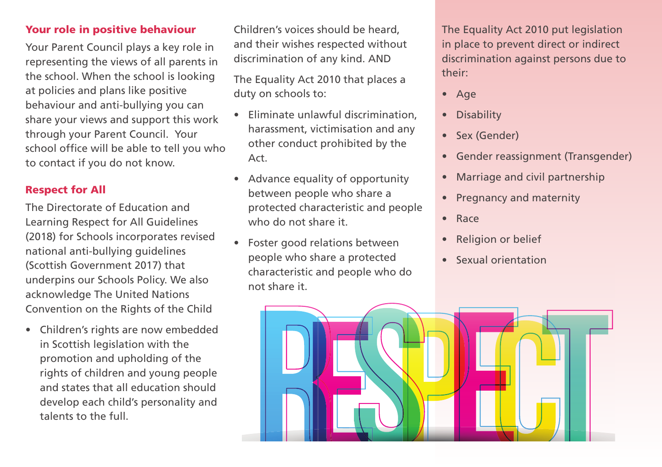## Your role in positive behaviour

Your Parent Council plays a key role in representing the views of all parents in the school. When the school is looking at policies and plans like positive behaviour and anti-bullying you can share your views and support this work through your Parent Council. Your school office will be able to tell you who to contact if you do not know.

## Respect for All

The Directorate of Education and Learning Respect for All Guidelines (2018) for Schools incorporates revised national anti-bullying guidelines (Scottish Government 2017) that underpins our Schools Policy. We also acknowledge The United Nations Convention on the Rights of the Child

• Children's rights are now embedded in Scottish legislation with the promotion and upholding of the rights of children and young people and states that all education should develop each child's personality and talents to the full.

Children's voices should be heard, and their wishes respected without discrimination of any kind. AND

The Equality Act 2010 that places a duty on schools to:

- Eliminate unlawful discrimination, harassment, victimisation and any other conduct prohibited by the Act.
- Advance equality of opportunity between people who share a protected characteristic and people who do not share it.
- characteristic and people who do not share it. • Foster good relations between people who share a protected

The Equality Act 2010 put legislation in place to prevent direct or indirect discrimination against persons due to their:

- Age
- Disability
- Sex (Gender)
- Gender reassignment (Transgender)
- Marriage and civil partnership
- Pregnancy and maternity
- Race
- Religion or belief
- Sexual orientation